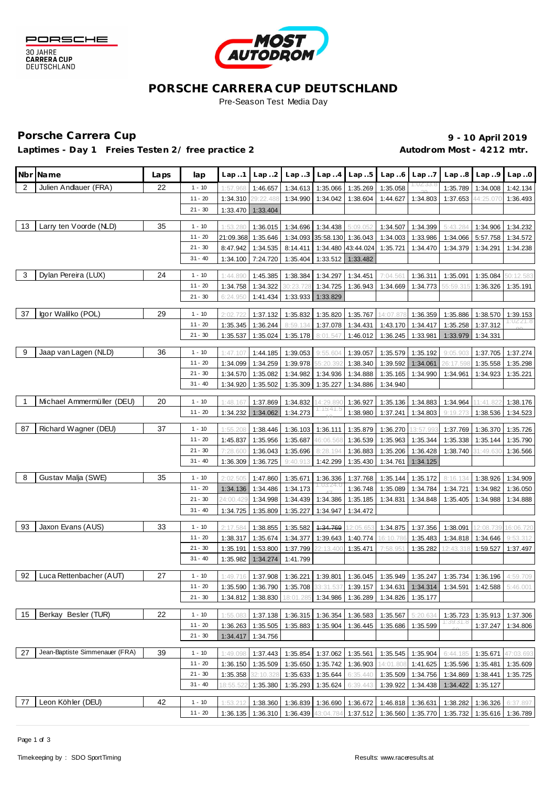



## **PORSCHE CARRERA CUP DEUTSCHLAND** Pre-Season Test Media Day

Laptimes - Day 1 Freies Testen 2/ free practice 2 **Autodrom Most - 4212 mtr.** 

Porsche Carrera Cup **10 April 2019 9 - 10 April 2019** 

|                | Nbr Name                       | Laps | lap                    | Lap.1                | Lap.2                 |                                                                                            |                               | $Lap3$ $Lap4$ $Lap5$ |                      | $Lap.6$ $Lap.7$      |                                                                            | $Lap.8$ $Lap.9$      | Lap.0     |
|----------------|--------------------------------|------|------------------------|----------------------|-----------------------|--------------------------------------------------------------------------------------------|-------------------------------|----------------------|----------------------|----------------------|----------------------------------------------------------------------------|----------------------|-----------|
| 2              | Julien Andlauer (FRA)          | 22   | $1 - 10$               | 1:57.968             | 1:46.657              | 1:34.613                                                                                   | 1:35.066                      | 1:35.269             | 1:35.058             |                      | 1:35.789                                                                   | 1:34.008             | 1:42.134  |
|                |                                |      | $11 - 20$              | 1:34.310             | 29:22.488             | 1:34.990                                                                                   | 1:34.042                      | 1:38.604             | 1:44.627             | 1:34.803             | 1:37.653                                                                   | 44:25.070            | 1:36.493  |
|                |                                |      | $21 - 30$              | 1:33.470             | 1:33.404              |                                                                                            |                               |                      |                      |                      |                                                                            |                      |           |
| 13             | Larry ten Voorde (NLD)         | 35   | $1 - 10$               | 1:53.280             | 1:36.015              | 1:34.696                                                                                   | 1:34.438                      | 5:09.052             | 1:34.507             | 1:34.399             | 5:43.284                                                                   | 1:34.906             | 1:34.232  |
|                |                                |      | $11 - 20$              | 21:09.368            | 1:35.646              |                                                                                            | 1:34.093 35:58.130 1:36.043   |                      | 1:34.003             | 1:33.986             | 1:34.066                                                                   | 5:57.758             | 1:34.572  |
|                |                                |      | $21 - 30$              | 8:47.942             | 1:34.535              | 8:14.411                                                                                   |                               | 1:34.480 43:44.024   | 1:35.721             | 1:34.470             | 1:34.379                                                                   | 1:34.291             | 1:34.238  |
|                |                                |      | $31 - 40$              | 1:34.100             | 7:24.720              | 1:35.404                                                                                   |                               | 1:33.512 1:33.482    |                      |                      |                                                                            |                      |           |
| 3              | Dylan Pereira (LUX)            | 24   | $1 - 10$               | 1:44.890             | 1:45.385              | 1:38.384                                                                                   | 1:34.297                      | 1:34.451             | 7:04.561             | 1:36.311             | 1:35.091                                                                   | 1:35.084             | 50:12.583 |
|                |                                |      | $11 - 20$              | 1:34.758             | 1:34.322              | 30:23.728                                                                                  | 1:34.725                      | 1:36.943             | 1:34.669             | 1:34.773             | 55:59.315                                                                  | 1:36.326             | 1:35.191  |
|                |                                |      | $21 - 30$              | 6:24.950             | 1:41.434              | 1:33.933                                                                                   | 1:33.829                      |                      |                      |                      |                                                                            |                      |           |
| 37             | lgor Walilko (POL)             | 29   | $1 - 10$               | 2:02.722             | 1:37.132              | 1:35.832                                                                                   | 1:35.820                      | 1:35.767             | 14:07.87             | 1:36.359             | 1:35.886                                                                   | 1:38.570             | 1:39.153  |
|                |                                |      | $11 - 20$              | 1:35.345             | 1:36.244              | 8:59.134                                                                                   | 1:37.078                      | 1:34.431             | 1:43.170             | 1:34.417             | 1:35.258                                                                   | 1:37.312             |           |
|                |                                |      | $21 - 30$              | 1:35.537             | 1:35.024              | 1:35.178                                                                                   | 8:01.547                      | 1:46.012             | 1:36.245             | 1:33.981             | 1:33.979                                                                   | 1:34.331             |           |
| 9              | Jaap van Lagen (NLD)           | 36   | $1 - 10$               | 1:47.107             | 1:44.185              | 1:39.053                                                                                   | 9:55.604                      | 1:39.057             | 1:35.579             | 1:35.192             | 9:05.903                                                                   | 1:37.705             | 1:37.274  |
|                |                                |      | $11 - 20$              | 1:34.099             | 1:34.259              | 1:39.978                                                                                   | 55:20.392                     | 1:38.340             | 1:39.592             | 1:34.061             | 26:17.598                                                                  | 1:35.558             | 1:35.298  |
|                |                                |      | $21 - 30$              | 1:34.570             | 1:35.082              | 1:34.982                                                                                   | 1:34.936                      | 1:34.888             | 1:35.165             | 1:34.990             | 1:34.961                                                                   | 1:34.923             | 1:35.221  |
|                |                                |      | $31 - 40$              | 1:34.920             | 1:35.502              | 1:35.309                                                                                   | 1:35.227                      | 1:34.886             | 1:34.940             |                      |                                                                            |                      |           |
| $\overline{1}$ | Michael Ammermüller (DEU)      | 20   | $1 - 10$               | 1:48.167             | 1:37.869              | 1:34.832                                                                                   | 4:29.89                       | 1:36.927             | 1:35.136             | 1:34.883             | 1:34.964                                                                   | 11:41.82             | 1:38.176  |
|                |                                |      | $11 - 20$              | 1:34.232             | 1:34.062              | 1:34.273                                                                                   | 1115:41.5                     | 1:38.980             | 1:37.241             | 1:34.803             | 9:19.273                                                                   | 1:38.536             | 1:34.523  |
|                |                                |      |                        |                      |                       |                                                                                            |                               |                      |                      |                      |                                                                            |                      |           |
| 87             | Richard Wagner (DEU)           | 37   | $1 - 10$               | 1:55.208             | 1:38.446              | 1:36.103                                                                                   | 1:36.111                      | 1:35.879             | 1:36.270             | 13:57.99             | 1:37.769                                                                   | 1:36.370             | 1:35.726  |
|                |                                |      | $11 - 20$              | 1:45.837             | 1:35.956              | 1:35.687                                                                                   | 46:06.568                     | 1:36.539             | 1:35.963             | 1:35.344             | 1:35.338                                                                   | 1:35.144             | 1:35.790  |
|                |                                |      | $21 - 30$              | 7:28.600             | 1:36.043              | 1:35.696                                                                                   | 8:28.194                      | 1:36.883             | 1:35.206             | 1:36.428             | 1:38.740                                                                   | 31:49.630            | 1:36.566  |
|                |                                |      | $31 - 40$              | 1:36.309             | 1:36.725              | 9:40.913                                                                                   | 1:42.299                      | 1:35.430             | 1:34.761             | 1:34.125             |                                                                            |                      |           |
| 8              | Gustav Malja (SWE)             | 35   | $1 - 10$               | 2:02.505             | 1:47.860              | 1:35.671                                                                                   | 1:36.336                      | 1:37.768             | 1:35.144             | 1:35.172             | 8:16.134                                                                   | 1:38.926             | 1:34.909  |
|                |                                |      | $11 - 20$              | 1:34.136             | 1:34.486              | 1:34.173                                                                                   |                               | 1:36.748             | 1:35.089             | 1:34.784             | 1:34.721                                                                   | 1:34.982             | 1:36.050  |
|                |                                |      | $21 - 30$              | 24:00.429            | 1:34.998              | 1:34.439                                                                                   | 1:34.386                      | 1:35.185             | 1:34.831             | 1:34.848             | 1:35.405                                                                   | 1:34.988             | 1:34.888  |
|                |                                |      | $31 - 40$              | 1:34.725             | 1:35.809              | 1:35.227                                                                                   | 1:34.947                      | 1:34.472             |                      |                      |                                                                            |                      |           |
| 93             | Jaxon Evans (AUS)              | 33   | $1 - 10$               | 2:17.584             | 1:38.855              | 1:35.582                                                                                   | 4:34.769                      | 12:05.65             | 1:34.875             | 1:37.356             | 1:38.091                                                                   | 12:08.739            | 16:06.720 |
|                |                                |      | $11 - 20$              | 1:38.317             | 1:35.674              | 1:34.377                                                                                   | 1:39.643                      | 1:40.774             | 16:10.786            | 1:35.483             | 1:34.818                                                                   | 1:34.646             | 9:53.312  |
|                |                                |      | $21 - 30$              | 1:35.191             | 1:53.800              | 1:37.799                                                                                   | 22:13.400                     | 1:35.471             | 7:58.951             | 1:35.282             | 12:43.318                                                                  | 1:59.527             | 1:37.497  |
|                |                                |      | $31 - 40$              | 1:35.982             | 1:34.274              | 1:41.799                                                                                   |                               |                      |                      |                      |                                                                            |                      |           |
| 92             | Luca Rettenbacher (AUT)        | 27   | $1 - 10$               | 1:49.716             | 1:37.908              |                                                                                            |                               |                      |                      |                      | 1:36.221   1:39.801   1:36.045   1:35.949   1:35.247   1:35.734   1:36.196 |                      | 4:59.709  |
|                |                                |      | $11 - 20$              |                      |                       | 1:35.590 1:36.790 1:35.708 33:31.537 1:39.157 1:34.631 1:34.314 1:34.591 1:42.588 5:46.001 |                               |                      |                      |                      |                                                                            |                      |           |
|                |                                |      | $21 - 30$              | 1:34.812             | 1:38.830              | 18:01.285                                                                                  |                               | 1:34.986 1:36.289    | 1:34.826             | 1:35.177             |                                                                            |                      |           |
| 15             | Berkay Besler (TUR)            | 22   | $1 - 10$               | 1:55.083             | 1:37.138              | 1:36.315                                                                                   | 1:36.354                      | 1:36.583             | 1:35.567             | 5:20.634             | 1:35.723                                                                   | 1:35.913             | 1:37.306  |
|                |                                |      | $11 - 20$              | 1:36.263             | 1:35.505              | 1:35.883                                                                                   |                               | 1:35.904 1:36.445    | 1:35.686             | 1:35.599             | 1139.31.8                                                                  | 1:37.247             | 1:34.806  |
|                |                                |      | $21 - 30$              | 1:34.417             | 1:34.756              |                                                                                            |                               |                      |                      |                      |                                                                            |                      |           |
|                |                                |      |                        |                      |                       |                                                                                            |                               |                      |                      |                      |                                                                            |                      |           |
| 27             | Jean-Baptiste Simmenauer (FRA) | 39   | $1 - 10$               | 1:49.098             | 1:37.443              | 1:35.854                                                                                   | 1:37.062 1:35.561             |                      |                      | 1:35.545 1:35.904    | 6:44.185                                                                   | 1:35.671             | 47:03.693 |
|                |                                |      | $11 - 20$<br>$21 - 30$ | 1:36.150             | 1:35.509              | 1:35.650                                                                                   | 1:35.742                      | 1:36.903             | 14:01.808            | 1:41.625             | 1:35.596                                                                   | 1:35.481<br>1:38.441 | 1:35.609  |
|                |                                |      | $31 - 40$              | 1:35.358<br>18:55.52 | 32:10.328<br>1:35.380 | 1:35.633<br>1:35.293                                                                       | 1:35.644<br>1:35.624 6:39.443 | 6:35.440             | 1:35.509<br>1:39.922 | 1:34.756<br>1:34.438 | 1:34.869<br>1:34.422                                                       | 1:35.127             | 1:35.725  |
|                |                                |      |                        |                      |                       |                                                                                            |                               |                      |                      |                      |                                                                            |                      |           |
| 77             | Leon Köhler (DEU)              | 42   | $1 - 10$               | 1:53.212             | 1:38.360              | 1:36.839                                                                                   |                               | 1:36.690 1:36.672    | 1:46.818             | 1:36.631             | 1:38.282                                                                   | 1:36.326             | 6:37.897  |
|                |                                |      | $11 - 20$              | 1:36.135             | 1:36.310              | 1:36.439                                                                                   | 43:04.784                     | 1:37.512             | 1:36.560             | 1:35.770             | 1:35.732                                                                   | 1:35.616             | 1:36.789  |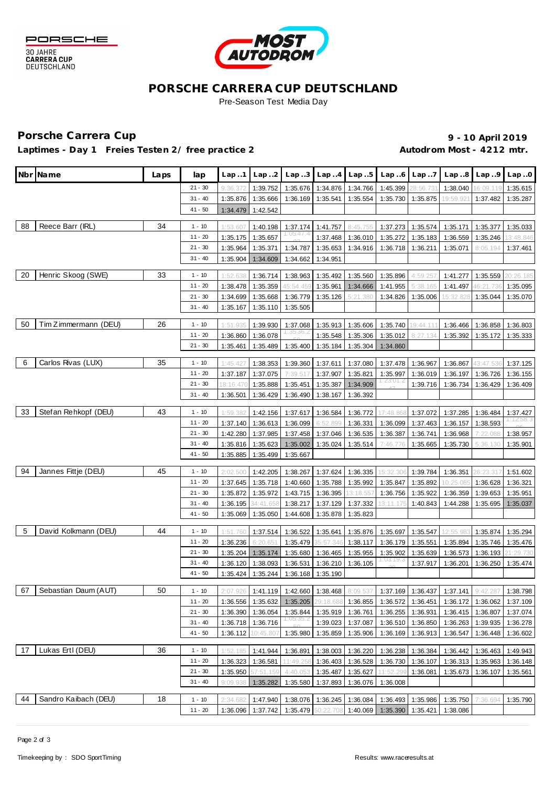



# **PORSCHE CARRERA CUP DEUTSCHLAND**

Pre-Season Test Media Day

# Porsche Carrera Cup **10 April 2019 9 - 10 April 2019**

Laptimes - Day 1 Freies Testen 2/ free practice 2 **Autodrom Most - 4212 mtr.** 

| $21 - 30$<br>1:35.676<br>1:34.766<br>1:38.040<br>9:36.37<br>1:39.752<br>1:34.876<br>1:45.399<br>1:35.615<br>:56.73<br>16:09.119<br>$31 - 40$<br>1:35.287<br>1:35.876<br>1:35.666<br>1:36.169<br>1:35.541<br>1:35.554<br>1:35.730<br>1:35.875<br>19:59.92<br>1:37.482<br>$41 - 50$<br>1:42.542<br>1:34.479<br>Reece Barr (IRL)<br>34<br>88<br>$1 - 10$<br>8:45.755<br>1:53.607<br>1:40.198<br>1:37.174<br>1:41.757<br>1:37.273<br>1:35.574<br>1:35.171<br>1:35.377<br>1:35.033<br>$11 - 20$<br>1:35.657<br>1:35.246<br>1:35.175<br>1:37.468<br>1:36.010<br>1:35.272<br>1:35.183<br>1:36.559<br>13:48.846<br>$21 - 30$<br>1:35.964<br>1:35.371<br>1:34.787<br>1:35.071<br>8:05.194<br>1:35.653<br>1:34.916<br>1:36.718<br>1:36.211<br>1:37.461<br>$31 - 40$<br>1:35.904<br>1:34.609<br>1:34.662<br>1:34.951<br>Henric Skoog (SWE)<br>20<br>33<br>$1 - 10$<br>1:36.714<br>1:38.963<br>1:35.492<br>1:35.560<br>1:35.896<br>1:35.559<br>20:26.185<br>1:52.638<br>4:59.257<br>1:41.277<br>$11 - 20$<br>1:35.359<br>1:35.961<br>1:38.478<br>45:54.45<br>1:34.666<br>1:41.955<br>5:38.165<br>1:41.497<br>1:35.095<br>$21 - 30$<br>1:34.699<br>1:35.668<br>1:36.779<br>1:35.126<br>5:21.380<br>1:34.826<br>5:32.82<br>1:35.044<br>1:35.070<br>1:35.006<br>$31 - 40$<br>1:35.110<br>1:35.167<br>1:35.505<br>Tim Zimmermann (DEU)<br>50<br>26<br>$1 - 10$<br>1:39.930<br>1:37.068<br>1:35.606<br>1:35.740<br>1:36.466<br>1:36.858<br>1:36.803<br>1:51.935<br>1:35.913<br>19:44.11<br>$11 - 20$<br>1:36.860<br>1:36.078<br>1:35.548<br>1:35.306<br>1:35.012<br>8:27.134<br>1:35.392<br>1:35.172<br>1:35.333<br>$21 - 30$<br>1:35.400<br>1:35.461<br>1:35.489<br>1:35.184<br>1:35.304<br>1:34.860<br>Carlos Rivas (LUX)<br>35<br>-6<br>$1 - 10$<br>1:45.427<br>1:38.353<br>1:39.360<br>1:37.611<br>1:37.080<br>1:37.478<br>1:36.967<br>1:36.867<br>43:47.536<br>1:37.125<br>$11 - 20$<br>1:37.187<br>1:37.907<br>1:37.075<br>7:39.517<br>1:35.821<br>1:35.997<br>1:36.019<br>1:36.197<br>1:36.726<br>1:36.155<br>1:23:01.2<br>$21 - 30$<br>1:35.451<br>1:34.909<br>8:16.47<br>1:35.888<br>1:35.387<br>1:39.716<br>1:36.734<br>1:36.429<br>1:36.409<br>$31 - 40$<br>1:36.429<br>1:36.392<br>1:36.501<br>1:36.490<br>1:38.167<br>33<br>Stefan Rehkopf (DEU)<br>43<br>$1 - 10$<br>1:36.772<br>1:59.382<br>1:42.156<br>1:37.617<br>1:36.584<br>17:48.86<br>1:37.072<br>1:37.285<br>1:36.484<br>1:37.427<br>1:12:58.3<br>$11 - 20$<br>1:36.613<br>1:36.099<br>1:36.157<br>1:38.593<br>1:37.140<br>6:52.899<br>1:36.331<br>1:36.099<br>1:37.463<br>$21 - 30$<br>1:42.280<br>1:37.985<br>1:37.458<br>1:37.046<br>1:36.535<br>1:36.387<br>1:36.741<br>1:36.968<br>7:22.088<br>1:38.957<br>$31 - 40$<br>1:35.816<br>1:35.623<br>1:35.024<br>1:35.514<br>1:35.002<br>7:46.776<br>1:35.665<br>1:35.730<br>5:36.130<br>1:35.901<br>$41 - 50$<br>1:35.885<br>1:35.499<br>1:35.667<br>94<br>Jannes Fittje (DEU)<br>45<br>$1 - 10$<br>2:02.500<br>1:42.205<br>1:38.267<br>1:37.624<br>1:36.335<br>15:32.306<br>1:39.784<br>1:36.351<br>26:23.317<br>1:51.602<br>$11 - 20$<br>1:35.718<br>1:35.788<br>1:35.992<br>1:37.645<br>1:40.660<br>1:35.847<br>1:35.892<br>0:25.08<br>1:36.628<br>1:36.321<br>$21 - 30$<br>1:35.972<br>1:43.715<br>1:36.395<br>1:35.872<br>13:18.55<br>1:36.756<br>1:35.922<br>1:36.359<br>1:39.653<br>1:35.951<br>31 - 40<br>1:36.195<br>1:37.129<br>1:37.332<br>1:44.288<br>34:41.658<br>1:38.217<br>13:11.175<br>1:40.843<br>1:35.695<br>1:35.037<br>$41 - 50$<br>1:35.069<br>1:35.050<br>1:44.608<br>1:35.878<br>1:35.823<br>David Kolkmann (DEU)<br>-5<br>44<br>$1 - 10$<br>1:37.514<br>1:36.522<br>1:35.641<br>1:35.876<br>1:35.697<br>1:35.547<br>12:55.98<br>1:35.874<br>1:35.294<br>1:51.760<br>$11 - 20$<br>1:36.236<br>1:35.479<br>35:57.346<br>1:38.117<br>1:36.179<br>1:35.551<br>1:35.894<br>1:35.746<br>6:20.65<br>1:35.476<br>$21 - 30$<br>1:35.680<br>1:36.465<br>1:35.204<br>1:35.174<br>1:35.955<br>1:35.902<br>1:35.639<br>1:36.573<br>1:36.193<br>21:29.73(<br>1:03:19.3<br>$31 - 40$<br>1:38.093<br>1:36.105<br>1:36.201<br>1:35.474<br>1:36.120<br>1:36.531<br>1:36.210<br>1:37.917<br>1:36.250<br>$41 - 50$<br>1:35.424<br>1:35.244<br>1:36.168<br>1:35.190<br>Sebastian Daum (AUT)<br>50<br>67<br>$1 - 10$<br>1:41.119 1:42.660 1:38.468 8:09.537<br>2:07.926<br>1:37.169 1:36.437 1:37.141 9:42.287<br>1:38.798<br>$11 - 20$<br>1:36.556<br>1:35.632<br>1:35.205<br>29:18.688<br>1:36.855<br>1:36.172<br>1:36.572<br>1:36.451<br>1:36.062<br>1:37.109<br>$21 - 30$<br>1:36.390<br>1:36.054<br>1:35.844<br>1:35.919<br>1:36.761<br>1:36.255<br>1:36.931<br>1:36.415<br>1:36.807<br>1:37.074<br>$31 - 40$<br>1:39.023<br>1:36.718<br>1:36.716<br>1:37.087<br>1:36.510<br>1:36.263<br>1:39.935<br>1:36.850<br>1:36.278<br>$41 - 50$<br>1:36.112<br>1:35.859<br>1:35.906<br>1:36.547<br>10:45.807<br>1:35.980<br>1:36.169<br>1:36.913<br>1:36.448<br>1:36.602<br>Lukas Ertl (DEU)<br>17<br>36<br>$1 - 10$<br>1:36.220<br>1:52.185<br>1:41.944<br>1:36.891<br>1:38.003<br>1:36.238<br>1:36.384<br>1:36.442<br>1:36.463<br>1:49.943<br>$11 - 20$<br>1:36.581<br>1:36.403<br>1:36.323<br>11:49.258<br>1:36.528<br>1:36.730<br>1:36.107<br>1:36.313<br>1:35.963<br>1:36.148<br>$21 - 30$<br>1:35.950<br>57:51.159<br>4:40.053<br>1:35.487 1:35.627<br>11:52.299<br>1:36.081<br>1:35.673<br>1:36.107<br>1:35.561<br>$31 - 40$<br>1:35.282<br>1:37.893<br>1:36.076<br>9:09.938<br>1:35.580<br>1:36.008<br>Sandro Kaibach (DEU)<br>18<br>44<br>$1 - 10$<br>2:34.682<br>1:47.940<br>1:38.076 1:36.245 1:36.084<br>1:35.986<br>1:35.750<br>1:36.493<br>7:36.694<br>1:35.790<br>1:35.479 50:22.708 | Nbr Name | Laps | lap       | Lap.1    | Lap2     | Lap3 | $Lap. .4$ $Lap. .5$ | Lap.6    | Lap7     | Lap.8    | Lap.9 | Lap.0 |
|----------------------------------------------------------------------------------------------------------------------------------------------------------------------------------------------------------------------------------------------------------------------------------------------------------------------------------------------------------------------------------------------------------------------------------------------------------------------------------------------------------------------------------------------------------------------------------------------------------------------------------------------------------------------------------------------------------------------------------------------------------------------------------------------------------------------------------------------------------------------------------------------------------------------------------------------------------------------------------------------------------------------------------------------------------------------------------------------------------------------------------------------------------------------------------------------------------------------------------------------------------------------------------------------------------------------------------------------------------------------------------------------------------------------------------------------------------------------------------------------------------------------------------------------------------------------------------------------------------------------------------------------------------------------------------------------------------------------------------------------------------------------------------------------------------------------------------------------------------------------------------------------------------------------------------------------------------------------------------------------------------------------------------------------------------------------------------------------------------------------------------------------------------------------------------------------------------------------------------------------------------------------------------------------------------------------------------------------------------------------------------------------------------------------------------------------------------------------------------------------------------------------------------------------------------------------------------------------------------------------------------------------------------------------------------------------------------------------------------------------------------------------------------------------------------------------------------------------------------------------------------------------------------------------------------------------------------------------------------------------------------------------------------------------------------------------------------------------------------------------------------------------------------------------------------------------------------------------------------------------------------------------------------------------------------------------------------------------------------------------------------------------------------------------------------------------------------------------------------------------------------------------------------------------------------------------------------------------------------------------------------------------------------------------------------------------------------------------------------------------------------------------------------------------------------------------------------------------------------------------------------------------------------------------------------------------------------------------------------------------------------------------------------------------------------------------------------------------------------------------------------------------------------------------------------------------------------------------------------------------------------------------------------------------------------------------------------------------------------------------------------------------------------------------------------------------------------------------------------------------------------------------------------------------------------------------------------------------------------------------------------------------------------------------------------------------------------------------------------------------------------------------------------------------------------------------------------------------------------------------------------------------------------------------------------------------------------------------------------------------------------------------------------------------------------------------------------------------------------------------------------------------------------------------------------------------------------------------------------------------------------------------------------------------------------------------------------------------------------------------------------------------------------------------------------------------------------------------------------------------------------------------------------------------------------------------------------------------------------|----------|------|-----------|----------|----------|------|---------------------|----------|----------|----------|-------|-------|
|                                                                                                                                                                                                                                                                                                                                                                                                                                                                                                                                                                                                                                                                                                                                                                                                                                                                                                                                                                                                                                                                                                                                                                                                                                                                                                                                                                                                                                                                                                                                                                                                                                                                                                                                                                                                                                                                                                                                                                                                                                                                                                                                                                                                                                                                                                                                                                                                                                                                                                                                                                                                                                                                                                                                                                                                                                                                                                                                                                                                                                                                                                                                                                                                                                                                                                                                                                                                                                                                                                                                                                                                                                                                                                                                                                                                                                                                                                                                                                                                                                                                                                                                                                                                                                                                                                                                                                                                                                                                                                                                                                                                                                                                                                                                                                                                                                                                                                                                                                                                                                                                                                                                                                                                                                                                                                                                                                                                                                                                                                                                                                                                          |          |      |           |          |          |      |                     |          |          |          |       |       |
|                                                                                                                                                                                                                                                                                                                                                                                                                                                                                                                                                                                                                                                                                                                                                                                                                                                                                                                                                                                                                                                                                                                                                                                                                                                                                                                                                                                                                                                                                                                                                                                                                                                                                                                                                                                                                                                                                                                                                                                                                                                                                                                                                                                                                                                                                                                                                                                                                                                                                                                                                                                                                                                                                                                                                                                                                                                                                                                                                                                                                                                                                                                                                                                                                                                                                                                                                                                                                                                                                                                                                                                                                                                                                                                                                                                                                                                                                                                                                                                                                                                                                                                                                                                                                                                                                                                                                                                                                                                                                                                                                                                                                                                                                                                                                                                                                                                                                                                                                                                                                                                                                                                                                                                                                                                                                                                                                                                                                                                                                                                                                                                                          |          |      |           |          |          |      |                     |          |          |          |       |       |
|                                                                                                                                                                                                                                                                                                                                                                                                                                                                                                                                                                                                                                                                                                                                                                                                                                                                                                                                                                                                                                                                                                                                                                                                                                                                                                                                                                                                                                                                                                                                                                                                                                                                                                                                                                                                                                                                                                                                                                                                                                                                                                                                                                                                                                                                                                                                                                                                                                                                                                                                                                                                                                                                                                                                                                                                                                                                                                                                                                                                                                                                                                                                                                                                                                                                                                                                                                                                                                                                                                                                                                                                                                                                                                                                                                                                                                                                                                                                                                                                                                                                                                                                                                                                                                                                                                                                                                                                                                                                                                                                                                                                                                                                                                                                                                                                                                                                                                                                                                                                                                                                                                                                                                                                                                                                                                                                                                                                                                                                                                                                                                                                          |          |      |           |          |          |      |                     |          |          |          |       |       |
|                                                                                                                                                                                                                                                                                                                                                                                                                                                                                                                                                                                                                                                                                                                                                                                                                                                                                                                                                                                                                                                                                                                                                                                                                                                                                                                                                                                                                                                                                                                                                                                                                                                                                                                                                                                                                                                                                                                                                                                                                                                                                                                                                                                                                                                                                                                                                                                                                                                                                                                                                                                                                                                                                                                                                                                                                                                                                                                                                                                                                                                                                                                                                                                                                                                                                                                                                                                                                                                                                                                                                                                                                                                                                                                                                                                                                                                                                                                                                                                                                                                                                                                                                                                                                                                                                                                                                                                                                                                                                                                                                                                                                                                                                                                                                                                                                                                                                                                                                                                                                                                                                                                                                                                                                                                                                                                                                                                                                                                                                                                                                                                                          |          |      |           |          |          |      |                     |          |          |          |       |       |
|                                                                                                                                                                                                                                                                                                                                                                                                                                                                                                                                                                                                                                                                                                                                                                                                                                                                                                                                                                                                                                                                                                                                                                                                                                                                                                                                                                                                                                                                                                                                                                                                                                                                                                                                                                                                                                                                                                                                                                                                                                                                                                                                                                                                                                                                                                                                                                                                                                                                                                                                                                                                                                                                                                                                                                                                                                                                                                                                                                                                                                                                                                                                                                                                                                                                                                                                                                                                                                                                                                                                                                                                                                                                                                                                                                                                                                                                                                                                                                                                                                                                                                                                                                                                                                                                                                                                                                                                                                                                                                                                                                                                                                                                                                                                                                                                                                                                                                                                                                                                                                                                                                                                                                                                                                                                                                                                                                                                                                                                                                                                                                                                          |          |      |           |          |          |      |                     |          |          |          |       |       |
|                                                                                                                                                                                                                                                                                                                                                                                                                                                                                                                                                                                                                                                                                                                                                                                                                                                                                                                                                                                                                                                                                                                                                                                                                                                                                                                                                                                                                                                                                                                                                                                                                                                                                                                                                                                                                                                                                                                                                                                                                                                                                                                                                                                                                                                                                                                                                                                                                                                                                                                                                                                                                                                                                                                                                                                                                                                                                                                                                                                                                                                                                                                                                                                                                                                                                                                                                                                                                                                                                                                                                                                                                                                                                                                                                                                                                                                                                                                                                                                                                                                                                                                                                                                                                                                                                                                                                                                                                                                                                                                                                                                                                                                                                                                                                                                                                                                                                                                                                                                                                                                                                                                                                                                                                                                                                                                                                                                                                                                                                                                                                                                                          |          |      |           |          |          |      |                     |          |          |          |       |       |
|                                                                                                                                                                                                                                                                                                                                                                                                                                                                                                                                                                                                                                                                                                                                                                                                                                                                                                                                                                                                                                                                                                                                                                                                                                                                                                                                                                                                                                                                                                                                                                                                                                                                                                                                                                                                                                                                                                                                                                                                                                                                                                                                                                                                                                                                                                                                                                                                                                                                                                                                                                                                                                                                                                                                                                                                                                                                                                                                                                                                                                                                                                                                                                                                                                                                                                                                                                                                                                                                                                                                                                                                                                                                                                                                                                                                                                                                                                                                                                                                                                                                                                                                                                                                                                                                                                                                                                                                                                                                                                                                                                                                                                                                                                                                                                                                                                                                                                                                                                                                                                                                                                                                                                                                                                                                                                                                                                                                                                                                                                                                                                                                          |          |      |           |          |          |      |                     |          |          |          |       |       |
|                                                                                                                                                                                                                                                                                                                                                                                                                                                                                                                                                                                                                                                                                                                                                                                                                                                                                                                                                                                                                                                                                                                                                                                                                                                                                                                                                                                                                                                                                                                                                                                                                                                                                                                                                                                                                                                                                                                                                                                                                                                                                                                                                                                                                                                                                                                                                                                                                                                                                                                                                                                                                                                                                                                                                                                                                                                                                                                                                                                                                                                                                                                                                                                                                                                                                                                                                                                                                                                                                                                                                                                                                                                                                                                                                                                                                                                                                                                                                                                                                                                                                                                                                                                                                                                                                                                                                                                                                                                                                                                                                                                                                                                                                                                                                                                                                                                                                                                                                                                                                                                                                                                                                                                                                                                                                                                                                                                                                                                                                                                                                                                                          |          |      |           |          |          |      |                     |          |          |          |       |       |
|                                                                                                                                                                                                                                                                                                                                                                                                                                                                                                                                                                                                                                                                                                                                                                                                                                                                                                                                                                                                                                                                                                                                                                                                                                                                                                                                                                                                                                                                                                                                                                                                                                                                                                                                                                                                                                                                                                                                                                                                                                                                                                                                                                                                                                                                                                                                                                                                                                                                                                                                                                                                                                                                                                                                                                                                                                                                                                                                                                                                                                                                                                                                                                                                                                                                                                                                                                                                                                                                                                                                                                                                                                                                                                                                                                                                                                                                                                                                                                                                                                                                                                                                                                                                                                                                                                                                                                                                                                                                                                                                                                                                                                                                                                                                                                                                                                                                                                                                                                                                                                                                                                                                                                                                                                                                                                                                                                                                                                                                                                                                                                                                          |          |      |           |          |          |      |                     |          |          |          |       |       |
|                                                                                                                                                                                                                                                                                                                                                                                                                                                                                                                                                                                                                                                                                                                                                                                                                                                                                                                                                                                                                                                                                                                                                                                                                                                                                                                                                                                                                                                                                                                                                                                                                                                                                                                                                                                                                                                                                                                                                                                                                                                                                                                                                                                                                                                                                                                                                                                                                                                                                                                                                                                                                                                                                                                                                                                                                                                                                                                                                                                                                                                                                                                                                                                                                                                                                                                                                                                                                                                                                                                                                                                                                                                                                                                                                                                                                                                                                                                                                                                                                                                                                                                                                                                                                                                                                                                                                                                                                                                                                                                                                                                                                                                                                                                                                                                                                                                                                                                                                                                                                                                                                                                                                                                                                                                                                                                                                                                                                                                                                                                                                                                                          |          |      |           |          |          |      |                     |          |          |          |       |       |
|                                                                                                                                                                                                                                                                                                                                                                                                                                                                                                                                                                                                                                                                                                                                                                                                                                                                                                                                                                                                                                                                                                                                                                                                                                                                                                                                                                                                                                                                                                                                                                                                                                                                                                                                                                                                                                                                                                                                                                                                                                                                                                                                                                                                                                                                                                                                                                                                                                                                                                                                                                                                                                                                                                                                                                                                                                                                                                                                                                                                                                                                                                                                                                                                                                                                                                                                                                                                                                                                                                                                                                                                                                                                                                                                                                                                                                                                                                                                                                                                                                                                                                                                                                                                                                                                                                                                                                                                                                                                                                                                                                                                                                                                                                                                                                                                                                                                                                                                                                                                                                                                                                                                                                                                                                                                                                                                                                                                                                                                                                                                                                                                          |          |      |           |          |          |      |                     |          |          |          |       |       |
|                                                                                                                                                                                                                                                                                                                                                                                                                                                                                                                                                                                                                                                                                                                                                                                                                                                                                                                                                                                                                                                                                                                                                                                                                                                                                                                                                                                                                                                                                                                                                                                                                                                                                                                                                                                                                                                                                                                                                                                                                                                                                                                                                                                                                                                                                                                                                                                                                                                                                                                                                                                                                                                                                                                                                                                                                                                                                                                                                                                                                                                                                                                                                                                                                                                                                                                                                                                                                                                                                                                                                                                                                                                                                                                                                                                                                                                                                                                                                                                                                                                                                                                                                                                                                                                                                                                                                                                                                                                                                                                                                                                                                                                                                                                                                                                                                                                                                                                                                                                                                                                                                                                                                                                                                                                                                                                                                                                                                                                                                                                                                                                                          |          |      |           |          |          |      |                     |          |          |          |       |       |
|                                                                                                                                                                                                                                                                                                                                                                                                                                                                                                                                                                                                                                                                                                                                                                                                                                                                                                                                                                                                                                                                                                                                                                                                                                                                                                                                                                                                                                                                                                                                                                                                                                                                                                                                                                                                                                                                                                                                                                                                                                                                                                                                                                                                                                                                                                                                                                                                                                                                                                                                                                                                                                                                                                                                                                                                                                                                                                                                                                                                                                                                                                                                                                                                                                                                                                                                                                                                                                                                                                                                                                                                                                                                                                                                                                                                                                                                                                                                                                                                                                                                                                                                                                                                                                                                                                                                                                                                                                                                                                                                                                                                                                                                                                                                                                                                                                                                                                                                                                                                                                                                                                                                                                                                                                                                                                                                                                                                                                                                                                                                                                                                          |          |      |           |          |          |      |                     |          |          |          |       |       |
|                                                                                                                                                                                                                                                                                                                                                                                                                                                                                                                                                                                                                                                                                                                                                                                                                                                                                                                                                                                                                                                                                                                                                                                                                                                                                                                                                                                                                                                                                                                                                                                                                                                                                                                                                                                                                                                                                                                                                                                                                                                                                                                                                                                                                                                                                                                                                                                                                                                                                                                                                                                                                                                                                                                                                                                                                                                                                                                                                                                                                                                                                                                                                                                                                                                                                                                                                                                                                                                                                                                                                                                                                                                                                                                                                                                                                                                                                                                                                                                                                                                                                                                                                                                                                                                                                                                                                                                                                                                                                                                                                                                                                                                                                                                                                                                                                                                                                                                                                                                                                                                                                                                                                                                                                                                                                                                                                                                                                                                                                                                                                                                                          |          |      |           |          |          |      |                     |          |          |          |       |       |
|                                                                                                                                                                                                                                                                                                                                                                                                                                                                                                                                                                                                                                                                                                                                                                                                                                                                                                                                                                                                                                                                                                                                                                                                                                                                                                                                                                                                                                                                                                                                                                                                                                                                                                                                                                                                                                                                                                                                                                                                                                                                                                                                                                                                                                                                                                                                                                                                                                                                                                                                                                                                                                                                                                                                                                                                                                                                                                                                                                                                                                                                                                                                                                                                                                                                                                                                                                                                                                                                                                                                                                                                                                                                                                                                                                                                                                                                                                                                                                                                                                                                                                                                                                                                                                                                                                                                                                                                                                                                                                                                                                                                                                                                                                                                                                                                                                                                                                                                                                                                                                                                                                                                                                                                                                                                                                                                                                                                                                                                                                                                                                                                          |          |      |           |          |          |      |                     |          |          |          |       |       |
|                                                                                                                                                                                                                                                                                                                                                                                                                                                                                                                                                                                                                                                                                                                                                                                                                                                                                                                                                                                                                                                                                                                                                                                                                                                                                                                                                                                                                                                                                                                                                                                                                                                                                                                                                                                                                                                                                                                                                                                                                                                                                                                                                                                                                                                                                                                                                                                                                                                                                                                                                                                                                                                                                                                                                                                                                                                                                                                                                                                                                                                                                                                                                                                                                                                                                                                                                                                                                                                                                                                                                                                                                                                                                                                                                                                                                                                                                                                                                                                                                                                                                                                                                                                                                                                                                                                                                                                                                                                                                                                                                                                                                                                                                                                                                                                                                                                                                                                                                                                                                                                                                                                                                                                                                                                                                                                                                                                                                                                                                                                                                                                                          |          |      |           |          |          |      |                     |          |          |          |       |       |
|                                                                                                                                                                                                                                                                                                                                                                                                                                                                                                                                                                                                                                                                                                                                                                                                                                                                                                                                                                                                                                                                                                                                                                                                                                                                                                                                                                                                                                                                                                                                                                                                                                                                                                                                                                                                                                                                                                                                                                                                                                                                                                                                                                                                                                                                                                                                                                                                                                                                                                                                                                                                                                                                                                                                                                                                                                                                                                                                                                                                                                                                                                                                                                                                                                                                                                                                                                                                                                                                                                                                                                                                                                                                                                                                                                                                                                                                                                                                                                                                                                                                                                                                                                                                                                                                                                                                                                                                                                                                                                                                                                                                                                                                                                                                                                                                                                                                                                                                                                                                                                                                                                                                                                                                                                                                                                                                                                                                                                                                                                                                                                                                          |          |      |           |          |          |      |                     |          |          |          |       |       |
|                                                                                                                                                                                                                                                                                                                                                                                                                                                                                                                                                                                                                                                                                                                                                                                                                                                                                                                                                                                                                                                                                                                                                                                                                                                                                                                                                                                                                                                                                                                                                                                                                                                                                                                                                                                                                                                                                                                                                                                                                                                                                                                                                                                                                                                                                                                                                                                                                                                                                                                                                                                                                                                                                                                                                                                                                                                                                                                                                                                                                                                                                                                                                                                                                                                                                                                                                                                                                                                                                                                                                                                                                                                                                                                                                                                                                                                                                                                                                                                                                                                                                                                                                                                                                                                                                                                                                                                                                                                                                                                                                                                                                                                                                                                                                                                                                                                                                                                                                                                                                                                                                                                                                                                                                                                                                                                                                                                                                                                                                                                                                                                                          |          |      |           |          |          |      |                     |          |          |          |       |       |
|                                                                                                                                                                                                                                                                                                                                                                                                                                                                                                                                                                                                                                                                                                                                                                                                                                                                                                                                                                                                                                                                                                                                                                                                                                                                                                                                                                                                                                                                                                                                                                                                                                                                                                                                                                                                                                                                                                                                                                                                                                                                                                                                                                                                                                                                                                                                                                                                                                                                                                                                                                                                                                                                                                                                                                                                                                                                                                                                                                                                                                                                                                                                                                                                                                                                                                                                                                                                                                                                                                                                                                                                                                                                                                                                                                                                                                                                                                                                                                                                                                                                                                                                                                                                                                                                                                                                                                                                                                                                                                                                                                                                                                                                                                                                                                                                                                                                                                                                                                                                                                                                                                                                                                                                                                                                                                                                                                                                                                                                                                                                                                                                          |          |      |           |          |          |      |                     |          |          |          |       |       |
|                                                                                                                                                                                                                                                                                                                                                                                                                                                                                                                                                                                                                                                                                                                                                                                                                                                                                                                                                                                                                                                                                                                                                                                                                                                                                                                                                                                                                                                                                                                                                                                                                                                                                                                                                                                                                                                                                                                                                                                                                                                                                                                                                                                                                                                                                                                                                                                                                                                                                                                                                                                                                                                                                                                                                                                                                                                                                                                                                                                                                                                                                                                                                                                                                                                                                                                                                                                                                                                                                                                                                                                                                                                                                                                                                                                                                                                                                                                                                                                                                                                                                                                                                                                                                                                                                                                                                                                                                                                                                                                                                                                                                                                                                                                                                                                                                                                                                                                                                                                                                                                                                                                                                                                                                                                                                                                                                                                                                                                                                                                                                                                                          |          |      |           |          |          |      |                     |          |          |          |       |       |
|                                                                                                                                                                                                                                                                                                                                                                                                                                                                                                                                                                                                                                                                                                                                                                                                                                                                                                                                                                                                                                                                                                                                                                                                                                                                                                                                                                                                                                                                                                                                                                                                                                                                                                                                                                                                                                                                                                                                                                                                                                                                                                                                                                                                                                                                                                                                                                                                                                                                                                                                                                                                                                                                                                                                                                                                                                                                                                                                                                                                                                                                                                                                                                                                                                                                                                                                                                                                                                                                                                                                                                                                                                                                                                                                                                                                                                                                                                                                                                                                                                                                                                                                                                                                                                                                                                                                                                                                                                                                                                                                                                                                                                                                                                                                                                                                                                                                                                                                                                                                                                                                                                                                                                                                                                                                                                                                                                                                                                                                                                                                                                                                          |          |      |           |          |          |      |                     |          |          |          |       |       |
|                                                                                                                                                                                                                                                                                                                                                                                                                                                                                                                                                                                                                                                                                                                                                                                                                                                                                                                                                                                                                                                                                                                                                                                                                                                                                                                                                                                                                                                                                                                                                                                                                                                                                                                                                                                                                                                                                                                                                                                                                                                                                                                                                                                                                                                                                                                                                                                                                                                                                                                                                                                                                                                                                                                                                                                                                                                                                                                                                                                                                                                                                                                                                                                                                                                                                                                                                                                                                                                                                                                                                                                                                                                                                                                                                                                                                                                                                                                                                                                                                                                                                                                                                                                                                                                                                                                                                                                                                                                                                                                                                                                                                                                                                                                                                                                                                                                                                                                                                                                                                                                                                                                                                                                                                                                                                                                                                                                                                                                                                                                                                                                                          |          |      |           |          |          |      |                     |          |          |          |       |       |
|                                                                                                                                                                                                                                                                                                                                                                                                                                                                                                                                                                                                                                                                                                                                                                                                                                                                                                                                                                                                                                                                                                                                                                                                                                                                                                                                                                                                                                                                                                                                                                                                                                                                                                                                                                                                                                                                                                                                                                                                                                                                                                                                                                                                                                                                                                                                                                                                                                                                                                                                                                                                                                                                                                                                                                                                                                                                                                                                                                                                                                                                                                                                                                                                                                                                                                                                                                                                                                                                                                                                                                                                                                                                                                                                                                                                                                                                                                                                                                                                                                                                                                                                                                                                                                                                                                                                                                                                                                                                                                                                                                                                                                                                                                                                                                                                                                                                                                                                                                                                                                                                                                                                                                                                                                                                                                                                                                                                                                                                                                                                                                                                          |          |      |           |          |          |      |                     |          |          |          |       |       |
|                                                                                                                                                                                                                                                                                                                                                                                                                                                                                                                                                                                                                                                                                                                                                                                                                                                                                                                                                                                                                                                                                                                                                                                                                                                                                                                                                                                                                                                                                                                                                                                                                                                                                                                                                                                                                                                                                                                                                                                                                                                                                                                                                                                                                                                                                                                                                                                                                                                                                                                                                                                                                                                                                                                                                                                                                                                                                                                                                                                                                                                                                                                                                                                                                                                                                                                                                                                                                                                                                                                                                                                                                                                                                                                                                                                                                                                                                                                                                                                                                                                                                                                                                                                                                                                                                                                                                                                                                                                                                                                                                                                                                                                                                                                                                                                                                                                                                                                                                                                                                                                                                                                                                                                                                                                                                                                                                                                                                                                                                                                                                                                                          |          |      |           |          |          |      |                     |          |          |          |       |       |
|                                                                                                                                                                                                                                                                                                                                                                                                                                                                                                                                                                                                                                                                                                                                                                                                                                                                                                                                                                                                                                                                                                                                                                                                                                                                                                                                                                                                                                                                                                                                                                                                                                                                                                                                                                                                                                                                                                                                                                                                                                                                                                                                                                                                                                                                                                                                                                                                                                                                                                                                                                                                                                                                                                                                                                                                                                                                                                                                                                                                                                                                                                                                                                                                                                                                                                                                                                                                                                                                                                                                                                                                                                                                                                                                                                                                                                                                                                                                                                                                                                                                                                                                                                                                                                                                                                                                                                                                                                                                                                                                                                                                                                                                                                                                                                                                                                                                                                                                                                                                                                                                                                                                                                                                                                                                                                                                                                                                                                                                                                                                                                                                          |          |      |           |          |          |      |                     |          |          |          |       |       |
|                                                                                                                                                                                                                                                                                                                                                                                                                                                                                                                                                                                                                                                                                                                                                                                                                                                                                                                                                                                                                                                                                                                                                                                                                                                                                                                                                                                                                                                                                                                                                                                                                                                                                                                                                                                                                                                                                                                                                                                                                                                                                                                                                                                                                                                                                                                                                                                                                                                                                                                                                                                                                                                                                                                                                                                                                                                                                                                                                                                                                                                                                                                                                                                                                                                                                                                                                                                                                                                                                                                                                                                                                                                                                                                                                                                                                                                                                                                                                                                                                                                                                                                                                                                                                                                                                                                                                                                                                                                                                                                                                                                                                                                                                                                                                                                                                                                                                                                                                                                                                                                                                                                                                                                                                                                                                                                                                                                                                                                                                                                                                                                                          |          |      |           |          |          |      |                     |          |          |          |       |       |
|                                                                                                                                                                                                                                                                                                                                                                                                                                                                                                                                                                                                                                                                                                                                                                                                                                                                                                                                                                                                                                                                                                                                                                                                                                                                                                                                                                                                                                                                                                                                                                                                                                                                                                                                                                                                                                                                                                                                                                                                                                                                                                                                                                                                                                                                                                                                                                                                                                                                                                                                                                                                                                                                                                                                                                                                                                                                                                                                                                                                                                                                                                                                                                                                                                                                                                                                                                                                                                                                                                                                                                                                                                                                                                                                                                                                                                                                                                                                                                                                                                                                                                                                                                                                                                                                                                                                                                                                                                                                                                                                                                                                                                                                                                                                                                                                                                                                                                                                                                                                                                                                                                                                                                                                                                                                                                                                                                                                                                                                                                                                                                                                          |          |      |           |          |          |      |                     |          |          |          |       |       |
|                                                                                                                                                                                                                                                                                                                                                                                                                                                                                                                                                                                                                                                                                                                                                                                                                                                                                                                                                                                                                                                                                                                                                                                                                                                                                                                                                                                                                                                                                                                                                                                                                                                                                                                                                                                                                                                                                                                                                                                                                                                                                                                                                                                                                                                                                                                                                                                                                                                                                                                                                                                                                                                                                                                                                                                                                                                                                                                                                                                                                                                                                                                                                                                                                                                                                                                                                                                                                                                                                                                                                                                                                                                                                                                                                                                                                                                                                                                                                                                                                                                                                                                                                                                                                                                                                                                                                                                                                                                                                                                                                                                                                                                                                                                                                                                                                                                                                                                                                                                                                                                                                                                                                                                                                                                                                                                                                                                                                                                                                                                                                                                                          |          |      |           |          |          |      |                     |          |          |          |       |       |
|                                                                                                                                                                                                                                                                                                                                                                                                                                                                                                                                                                                                                                                                                                                                                                                                                                                                                                                                                                                                                                                                                                                                                                                                                                                                                                                                                                                                                                                                                                                                                                                                                                                                                                                                                                                                                                                                                                                                                                                                                                                                                                                                                                                                                                                                                                                                                                                                                                                                                                                                                                                                                                                                                                                                                                                                                                                                                                                                                                                                                                                                                                                                                                                                                                                                                                                                                                                                                                                                                                                                                                                                                                                                                                                                                                                                                                                                                                                                                                                                                                                                                                                                                                                                                                                                                                                                                                                                                                                                                                                                                                                                                                                                                                                                                                                                                                                                                                                                                                                                                                                                                                                                                                                                                                                                                                                                                                                                                                                                                                                                                                                                          |          |      |           |          |          |      |                     |          |          |          |       |       |
|                                                                                                                                                                                                                                                                                                                                                                                                                                                                                                                                                                                                                                                                                                                                                                                                                                                                                                                                                                                                                                                                                                                                                                                                                                                                                                                                                                                                                                                                                                                                                                                                                                                                                                                                                                                                                                                                                                                                                                                                                                                                                                                                                                                                                                                                                                                                                                                                                                                                                                                                                                                                                                                                                                                                                                                                                                                                                                                                                                                                                                                                                                                                                                                                                                                                                                                                                                                                                                                                                                                                                                                                                                                                                                                                                                                                                                                                                                                                                                                                                                                                                                                                                                                                                                                                                                                                                                                                                                                                                                                                                                                                                                                                                                                                                                                                                                                                                                                                                                                                                                                                                                                                                                                                                                                                                                                                                                                                                                                                                                                                                                                                          |          |      |           |          |          |      |                     |          |          |          |       |       |
|                                                                                                                                                                                                                                                                                                                                                                                                                                                                                                                                                                                                                                                                                                                                                                                                                                                                                                                                                                                                                                                                                                                                                                                                                                                                                                                                                                                                                                                                                                                                                                                                                                                                                                                                                                                                                                                                                                                                                                                                                                                                                                                                                                                                                                                                                                                                                                                                                                                                                                                                                                                                                                                                                                                                                                                                                                                                                                                                                                                                                                                                                                                                                                                                                                                                                                                                                                                                                                                                                                                                                                                                                                                                                                                                                                                                                                                                                                                                                                                                                                                                                                                                                                                                                                                                                                                                                                                                                                                                                                                                                                                                                                                                                                                                                                                                                                                                                                                                                                                                                                                                                                                                                                                                                                                                                                                                                                                                                                                                                                                                                                                                          |          |      |           |          |          |      |                     |          |          |          |       |       |
|                                                                                                                                                                                                                                                                                                                                                                                                                                                                                                                                                                                                                                                                                                                                                                                                                                                                                                                                                                                                                                                                                                                                                                                                                                                                                                                                                                                                                                                                                                                                                                                                                                                                                                                                                                                                                                                                                                                                                                                                                                                                                                                                                                                                                                                                                                                                                                                                                                                                                                                                                                                                                                                                                                                                                                                                                                                                                                                                                                                                                                                                                                                                                                                                                                                                                                                                                                                                                                                                                                                                                                                                                                                                                                                                                                                                                                                                                                                                                                                                                                                                                                                                                                                                                                                                                                                                                                                                                                                                                                                                                                                                                                                                                                                                                                                                                                                                                                                                                                                                                                                                                                                                                                                                                                                                                                                                                                                                                                                                                                                                                                                                          |          |      |           |          |          |      |                     |          |          |          |       |       |
|                                                                                                                                                                                                                                                                                                                                                                                                                                                                                                                                                                                                                                                                                                                                                                                                                                                                                                                                                                                                                                                                                                                                                                                                                                                                                                                                                                                                                                                                                                                                                                                                                                                                                                                                                                                                                                                                                                                                                                                                                                                                                                                                                                                                                                                                                                                                                                                                                                                                                                                                                                                                                                                                                                                                                                                                                                                                                                                                                                                                                                                                                                                                                                                                                                                                                                                                                                                                                                                                                                                                                                                                                                                                                                                                                                                                                                                                                                                                                                                                                                                                                                                                                                                                                                                                                                                                                                                                                                                                                                                                                                                                                                                                                                                                                                                                                                                                                                                                                                                                                                                                                                                                                                                                                                                                                                                                                                                                                                                                                                                                                                                                          |          |      |           |          |          |      |                     |          |          |          |       |       |
|                                                                                                                                                                                                                                                                                                                                                                                                                                                                                                                                                                                                                                                                                                                                                                                                                                                                                                                                                                                                                                                                                                                                                                                                                                                                                                                                                                                                                                                                                                                                                                                                                                                                                                                                                                                                                                                                                                                                                                                                                                                                                                                                                                                                                                                                                                                                                                                                                                                                                                                                                                                                                                                                                                                                                                                                                                                                                                                                                                                                                                                                                                                                                                                                                                                                                                                                                                                                                                                                                                                                                                                                                                                                                                                                                                                                                                                                                                                                                                                                                                                                                                                                                                                                                                                                                                                                                                                                                                                                                                                                                                                                                                                                                                                                                                                                                                                                                                                                                                                                                                                                                                                                                                                                                                                                                                                                                                                                                                                                                                                                                                                                          |          |      |           |          |          |      |                     |          |          |          |       |       |
|                                                                                                                                                                                                                                                                                                                                                                                                                                                                                                                                                                                                                                                                                                                                                                                                                                                                                                                                                                                                                                                                                                                                                                                                                                                                                                                                                                                                                                                                                                                                                                                                                                                                                                                                                                                                                                                                                                                                                                                                                                                                                                                                                                                                                                                                                                                                                                                                                                                                                                                                                                                                                                                                                                                                                                                                                                                                                                                                                                                                                                                                                                                                                                                                                                                                                                                                                                                                                                                                                                                                                                                                                                                                                                                                                                                                                                                                                                                                                                                                                                                                                                                                                                                                                                                                                                                                                                                                                                                                                                                                                                                                                                                                                                                                                                                                                                                                                                                                                                                                                                                                                                                                                                                                                                                                                                                                                                                                                                                                                                                                                                                                          |          |      |           |          |          |      |                     |          |          |          |       |       |
|                                                                                                                                                                                                                                                                                                                                                                                                                                                                                                                                                                                                                                                                                                                                                                                                                                                                                                                                                                                                                                                                                                                                                                                                                                                                                                                                                                                                                                                                                                                                                                                                                                                                                                                                                                                                                                                                                                                                                                                                                                                                                                                                                                                                                                                                                                                                                                                                                                                                                                                                                                                                                                                                                                                                                                                                                                                                                                                                                                                                                                                                                                                                                                                                                                                                                                                                                                                                                                                                                                                                                                                                                                                                                                                                                                                                                                                                                                                                                                                                                                                                                                                                                                                                                                                                                                                                                                                                                                                                                                                                                                                                                                                                                                                                                                                                                                                                                                                                                                                                                                                                                                                                                                                                                                                                                                                                                                                                                                                                                                                                                                                                          |          |      |           |          |          |      |                     |          |          |          |       |       |
|                                                                                                                                                                                                                                                                                                                                                                                                                                                                                                                                                                                                                                                                                                                                                                                                                                                                                                                                                                                                                                                                                                                                                                                                                                                                                                                                                                                                                                                                                                                                                                                                                                                                                                                                                                                                                                                                                                                                                                                                                                                                                                                                                                                                                                                                                                                                                                                                                                                                                                                                                                                                                                                                                                                                                                                                                                                                                                                                                                                                                                                                                                                                                                                                                                                                                                                                                                                                                                                                                                                                                                                                                                                                                                                                                                                                                                                                                                                                                                                                                                                                                                                                                                                                                                                                                                                                                                                                                                                                                                                                                                                                                                                                                                                                                                                                                                                                                                                                                                                                                                                                                                                                                                                                                                                                                                                                                                                                                                                                                                                                                                                                          |          |      |           |          |          |      |                     |          |          |          |       |       |
|                                                                                                                                                                                                                                                                                                                                                                                                                                                                                                                                                                                                                                                                                                                                                                                                                                                                                                                                                                                                                                                                                                                                                                                                                                                                                                                                                                                                                                                                                                                                                                                                                                                                                                                                                                                                                                                                                                                                                                                                                                                                                                                                                                                                                                                                                                                                                                                                                                                                                                                                                                                                                                                                                                                                                                                                                                                                                                                                                                                                                                                                                                                                                                                                                                                                                                                                                                                                                                                                                                                                                                                                                                                                                                                                                                                                                                                                                                                                                                                                                                                                                                                                                                                                                                                                                                                                                                                                                                                                                                                                                                                                                                                                                                                                                                                                                                                                                                                                                                                                                                                                                                                                                                                                                                                                                                                                                                                                                                                                                                                                                                                                          |          |      |           |          |          |      |                     |          |          |          |       |       |
|                                                                                                                                                                                                                                                                                                                                                                                                                                                                                                                                                                                                                                                                                                                                                                                                                                                                                                                                                                                                                                                                                                                                                                                                                                                                                                                                                                                                                                                                                                                                                                                                                                                                                                                                                                                                                                                                                                                                                                                                                                                                                                                                                                                                                                                                                                                                                                                                                                                                                                                                                                                                                                                                                                                                                                                                                                                                                                                                                                                                                                                                                                                                                                                                                                                                                                                                                                                                                                                                                                                                                                                                                                                                                                                                                                                                                                                                                                                                                                                                                                                                                                                                                                                                                                                                                                                                                                                                                                                                                                                                                                                                                                                                                                                                                                                                                                                                                                                                                                                                                                                                                                                                                                                                                                                                                                                                                                                                                                                                                                                                                                                                          |          |      |           |          |          |      |                     |          |          |          |       |       |
|                                                                                                                                                                                                                                                                                                                                                                                                                                                                                                                                                                                                                                                                                                                                                                                                                                                                                                                                                                                                                                                                                                                                                                                                                                                                                                                                                                                                                                                                                                                                                                                                                                                                                                                                                                                                                                                                                                                                                                                                                                                                                                                                                                                                                                                                                                                                                                                                                                                                                                                                                                                                                                                                                                                                                                                                                                                                                                                                                                                                                                                                                                                                                                                                                                                                                                                                                                                                                                                                                                                                                                                                                                                                                                                                                                                                                                                                                                                                                                                                                                                                                                                                                                                                                                                                                                                                                                                                                                                                                                                                                                                                                                                                                                                                                                                                                                                                                                                                                                                                                                                                                                                                                                                                                                                                                                                                                                                                                                                                                                                                                                                                          |          |      |           |          |          |      |                     |          |          |          |       |       |
|                                                                                                                                                                                                                                                                                                                                                                                                                                                                                                                                                                                                                                                                                                                                                                                                                                                                                                                                                                                                                                                                                                                                                                                                                                                                                                                                                                                                                                                                                                                                                                                                                                                                                                                                                                                                                                                                                                                                                                                                                                                                                                                                                                                                                                                                                                                                                                                                                                                                                                                                                                                                                                                                                                                                                                                                                                                                                                                                                                                                                                                                                                                                                                                                                                                                                                                                                                                                                                                                                                                                                                                                                                                                                                                                                                                                                                                                                                                                                                                                                                                                                                                                                                                                                                                                                                                                                                                                                                                                                                                                                                                                                                                                                                                                                                                                                                                                                                                                                                                                                                                                                                                                                                                                                                                                                                                                                                                                                                                                                                                                                                                                          |          |      |           |          |          |      |                     |          |          |          |       |       |
|                                                                                                                                                                                                                                                                                                                                                                                                                                                                                                                                                                                                                                                                                                                                                                                                                                                                                                                                                                                                                                                                                                                                                                                                                                                                                                                                                                                                                                                                                                                                                                                                                                                                                                                                                                                                                                                                                                                                                                                                                                                                                                                                                                                                                                                                                                                                                                                                                                                                                                                                                                                                                                                                                                                                                                                                                                                                                                                                                                                                                                                                                                                                                                                                                                                                                                                                                                                                                                                                                                                                                                                                                                                                                                                                                                                                                                                                                                                                                                                                                                                                                                                                                                                                                                                                                                                                                                                                                                                                                                                                                                                                                                                                                                                                                                                                                                                                                                                                                                                                                                                                                                                                                                                                                                                                                                                                                                                                                                                                                                                                                                                                          |          |      |           |          |          |      |                     |          |          |          |       |       |
|                                                                                                                                                                                                                                                                                                                                                                                                                                                                                                                                                                                                                                                                                                                                                                                                                                                                                                                                                                                                                                                                                                                                                                                                                                                                                                                                                                                                                                                                                                                                                                                                                                                                                                                                                                                                                                                                                                                                                                                                                                                                                                                                                                                                                                                                                                                                                                                                                                                                                                                                                                                                                                                                                                                                                                                                                                                                                                                                                                                                                                                                                                                                                                                                                                                                                                                                                                                                                                                                                                                                                                                                                                                                                                                                                                                                                                                                                                                                                                                                                                                                                                                                                                                                                                                                                                                                                                                                                                                                                                                                                                                                                                                                                                                                                                                                                                                                                                                                                                                                                                                                                                                                                                                                                                                                                                                                                                                                                                                                                                                                                                                                          |          |      |           |          |          |      |                     |          |          |          |       |       |
|                                                                                                                                                                                                                                                                                                                                                                                                                                                                                                                                                                                                                                                                                                                                                                                                                                                                                                                                                                                                                                                                                                                                                                                                                                                                                                                                                                                                                                                                                                                                                                                                                                                                                                                                                                                                                                                                                                                                                                                                                                                                                                                                                                                                                                                                                                                                                                                                                                                                                                                                                                                                                                                                                                                                                                                                                                                                                                                                                                                                                                                                                                                                                                                                                                                                                                                                                                                                                                                                                                                                                                                                                                                                                                                                                                                                                                                                                                                                                                                                                                                                                                                                                                                                                                                                                                                                                                                                                                                                                                                                                                                                                                                                                                                                                                                                                                                                                                                                                                                                                                                                                                                                                                                                                                                                                                                                                                                                                                                                                                                                                                                                          |          |      |           |          |          |      |                     |          |          |          |       |       |
|                                                                                                                                                                                                                                                                                                                                                                                                                                                                                                                                                                                                                                                                                                                                                                                                                                                                                                                                                                                                                                                                                                                                                                                                                                                                                                                                                                                                                                                                                                                                                                                                                                                                                                                                                                                                                                                                                                                                                                                                                                                                                                                                                                                                                                                                                                                                                                                                                                                                                                                                                                                                                                                                                                                                                                                                                                                                                                                                                                                                                                                                                                                                                                                                                                                                                                                                                                                                                                                                                                                                                                                                                                                                                                                                                                                                                                                                                                                                                                                                                                                                                                                                                                                                                                                                                                                                                                                                                                                                                                                                                                                                                                                                                                                                                                                                                                                                                                                                                                                                                                                                                                                                                                                                                                                                                                                                                                                                                                                                                                                                                                                                          |          |      |           |          |          |      |                     |          |          |          |       |       |
|                                                                                                                                                                                                                                                                                                                                                                                                                                                                                                                                                                                                                                                                                                                                                                                                                                                                                                                                                                                                                                                                                                                                                                                                                                                                                                                                                                                                                                                                                                                                                                                                                                                                                                                                                                                                                                                                                                                                                                                                                                                                                                                                                                                                                                                                                                                                                                                                                                                                                                                                                                                                                                                                                                                                                                                                                                                                                                                                                                                                                                                                                                                                                                                                                                                                                                                                                                                                                                                                                                                                                                                                                                                                                                                                                                                                                                                                                                                                                                                                                                                                                                                                                                                                                                                                                                                                                                                                                                                                                                                                                                                                                                                                                                                                                                                                                                                                                                                                                                                                                                                                                                                                                                                                                                                                                                                                                                                                                                                                                                                                                                                                          |          |      |           |          |          |      |                     |          |          |          |       |       |
|                                                                                                                                                                                                                                                                                                                                                                                                                                                                                                                                                                                                                                                                                                                                                                                                                                                                                                                                                                                                                                                                                                                                                                                                                                                                                                                                                                                                                                                                                                                                                                                                                                                                                                                                                                                                                                                                                                                                                                                                                                                                                                                                                                                                                                                                                                                                                                                                                                                                                                                                                                                                                                                                                                                                                                                                                                                                                                                                                                                                                                                                                                                                                                                                                                                                                                                                                                                                                                                                                                                                                                                                                                                                                                                                                                                                                                                                                                                                                                                                                                                                                                                                                                                                                                                                                                                                                                                                                                                                                                                                                                                                                                                                                                                                                                                                                                                                                                                                                                                                                                                                                                                                                                                                                                                                                                                                                                                                                                                                                                                                                                                                          |          |      | $11 - 20$ | 1:36.096 | 1:37.742 |      | 1:40.069            | 1:35.390 | 1:35.421 | 1:38.086 |       |       |